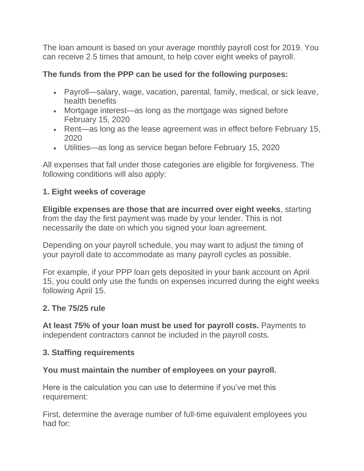The loan amount is based on your average monthly payroll cost for 2019. You can receive 2.5 times that amount, to help cover eight weeks of payroll.

### **The funds from the PPP can be used for the following purposes:**

- Payroll—salary, wage, vacation, parental, family, medical, or sick leave, health benefits
- Mortgage interest—as long as the mortgage was signed before February 15, 2020
- Rent—as long as the lease agreement was in effect before February 15, 2020
- Utilities—as long as service began before February 15, 2020

All expenses that fall under those categories are eligible for forgiveness. The following conditions will also apply:

# **1. Eight weeks of coverage**

**Eligible expenses are those that are incurred over eight weeks**, starting from the day the first payment was made by your lender. This is not necessarily the date on which you signed your loan agreement.

Depending on your payroll schedule, you may want to adjust the timing of your payroll date to accommodate as many payroll cycles as possible.

For example, if your PPP loan gets deposited in your bank account on April 15, you could only use the funds on expenses incurred during the eight weeks following April 15.

# **2. The 75/25 rule**

**At least 75% of your loan must be used for payroll costs.** Payments to independent contractors cannot be included in the payroll costs.

# **3. Staffing requirements**

# **You must maintain the number of employees on your payroll.**

Here is the calculation you can use to determine if you've met this requirement:

First, determine the average number of full-time equivalent employees you had for: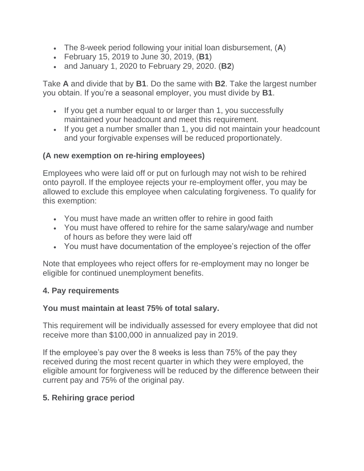- The 8-week period following your initial loan disbursement, (**A**)
- February 15, 2019 to June 30, 2019, (**B1**)
- and January 1, 2020 to February 29, 2020. (**B2**)

Take **A** and divide that by **B1**. Do the same with **B2**. Take the largest number you obtain. If you're a seasonal employer, you must divide by **B1**.

- If you get a number equal to or larger than 1, you successfully maintained your headcount and meet this requirement.
- If you get a number smaller than 1, you did not maintain your headcount and your forgivable expenses will be reduced proportionately.

# **(A new exemption on re-hiring employees)**

Employees who were laid off or put on furlough may not wish to be rehired onto payroll. If the employee rejects your re-employment offer, you may be allowed to exclude this employee when calculating forgiveness. To qualify for this exemption:

- You must have made an written offer to rehire in good faith
- You must have offered to rehire for the same salary/wage and number of hours as before they were laid off
- You must have documentation of the employee's rejection of the offer

Note that employees who reject offers for re-employment may no longer be eligible for continued unemployment benefits.

#### **4. Pay requirements**

#### **You must maintain at least 75% of total salary.**

This requirement will be individually assessed for every employee that did not receive more than \$100,000 in annualized pay in 2019.

If the employee's pay over the 8 weeks is less than 75% of the pay they received during the most recent quarter in which they were employed, the eligible amount for forgiveness will be reduced by the difference between their current pay and 75% of the original pay.

#### **5. Rehiring grace period**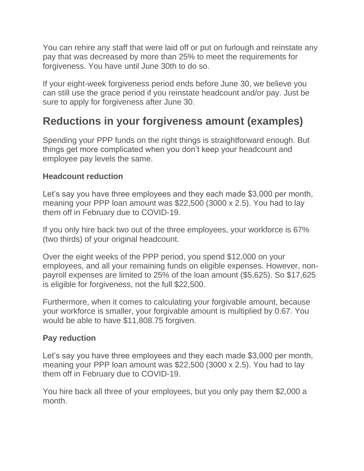You can rehire any staff that were laid off or put on furlough and reinstate any pay that was decreased by more than 25% to meet the requirements for forgiveness. You have until June 30th to do so.

If your eight-week forgiveness period ends before June 30, we believe you can still use the grace period if you reinstate headcount and/or pay. Just be sure to apply for forgiveness after June 30.

# **Reductions in your forgiveness amount (examples)**

Spending your PPP funds on the right things is straightforward enough. But things get more complicated when you don't keep your headcount and employee pay levels the same.

#### **Headcount reduction**

Let's say you have three employees and they each made \$3,000 per month, meaning your PPP loan amount was \$22,500 (3000 x 2.5). You had to lay them off in February due to COVID-19.

If you only hire back two out of the three employees, your workforce is 67% (two thirds) of your original headcount.

Over the eight weeks of the PPP period, you spend \$12,000 on your employees, and all your remaining funds on eligible expenses. However, nonpayroll expenses are limited to 25% of the loan amount (\$5,625). So \$17,625 is eligible for forgiveness, not the full \$22,500.

Furthermore, when it comes to calculating your forgivable amount, because your workforce is smaller, your forgivable amount is multiplied by 0.67. You would be able to have \$11,808.75 forgiven.

#### **Pay reduction**

Let's say you have three employees and they each made \$3,000 per month, meaning your PPP loan amount was \$22,500 (3000 x 2.5). You had to lay them off in February due to COVID-19.

You hire back all three of your employees, but you only pay them \$2,000 a month.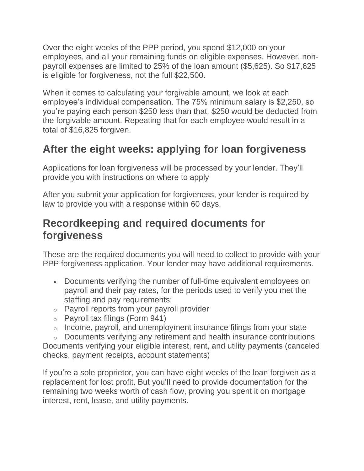Over the eight weeks of the PPP period, you spend \$12,000 on your employees, and all your remaining funds on eligible expenses. However, nonpayroll expenses are limited to 25% of the loan amount (\$5,625). So \$17,625 is eligible for forgiveness, not the full \$22,500.

When it comes to calculating your forgivable amount, we look at each employee's individual compensation. The 75% minimum salary is \$2,250, so you're paying each person \$250 less than that. \$250 would be deducted from the forgivable amount. Repeating that for each employee would result in a total of \$16,825 forgiven.

# **After the eight weeks: applying for loan forgiveness**

Applications for loan forgiveness will be processed by your lender. They'll provide you with instructions on where to apply

After you submit your application for forgiveness, your lender is required by law to provide you with a response within 60 days.

# **Recordkeeping and required documents for forgiveness**

These are the required documents you will need to collect to provide with your PPP forgiveness application. Your lender may have additional requirements.

- Documents verifying the number of full-time equivalent employees on payroll and their pay rates, for the periods used to verify you met the staffing and pay requirements:
- o Payroll reports from your payroll provider
- $\circ$  Payroll tax filings (Form 941)
- $\circ$  Income, payroll, and unemployment insurance filings from your state
- o Documents verifying any retirement and health insurance contributions Documents verifying your eligible interest, rent, and utility payments (canceled

checks, payment receipts, account statements)

If you're a sole proprietor, you can have eight weeks of the loan forgiven as a replacement for lost profit. But you'll need to provide documentation for the remaining two weeks worth of cash flow, proving you spent it on mortgage interest, rent, lease, and utility payments.